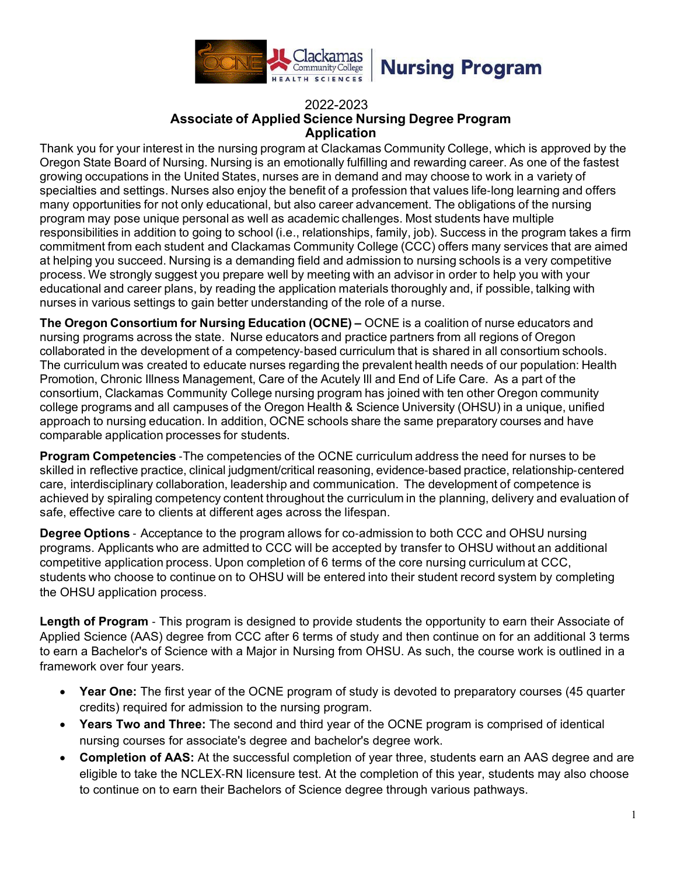

### 2022-2023 **Associate of Applied Science Nursing Degree Program Application**

Thank you for your interest in the nursing program at Clackamas Community College, which is approved by the Oregon State Board of Nursing. Nursing is an emotionally fulfilling and rewarding career. As one of the fastest growing occupations in the United States, nurses are in demand and may choose to work in a variety of specialties and settings. Nurses also enjoy the benefit of a profession that values life-long learning and offers many opportunities for not only educational, but also career advancement. The obligations of the nursing program may pose unique personal as well as academic challenges. Most students have multiple responsibilities in addition to going to school (i.e., relationships, family, job). Success in the program takes a firm commitment from each student and Clackamas Community College (CCC) offers many services that are aimed at helping you succeed. Nursing is a demanding field and admission to nursing schools is a very competitive process. We strongly suggest you prepare well by meeting with an advisor in order to help you with your educational and career plans, by reading the application materials thoroughly and, if possible, talking with nurses in various settings to gain better understanding of the role of a nurse.

**The Oregon Consortium for Nursing Education (OCNE) –** OCNE is a coalition of nurse educators and nursing programs across the state. Nurse educators and practice partners from all regions of Oregon collaborated in the development of a competency‐based curriculum that is shared in all consortium schools. The curriculum was created to educate nurses regarding the prevalent health needs of our population: Health Promotion, Chronic Illness Management, Care of the Acutely Ill and End of Life Care. As a part of the consortium, Clackamas Community College nursing program has joined with ten other Oregon community college programs and all campuses of the Oregon Health & Science University (OHSU) in a unique, unified approach to nursing education. In addition, OCNE schools share the same preparatory courses and have comparable application processes for students.

**Program Competencies** ‐The competencies of the OCNE curriculum address the need for nurses to be skilled in reflective practice, clinical judgment/critical reasoning, evidence‐based practice, relationship‐centered care, interdisciplinary collaboration, leadership and communication. The development of competence is achieved by spiraling competency content throughout the curriculum in the planning, delivery and evaluation of safe, effective care to clients at different ages across the lifespan.

**Degree Options** ‐ Acceptance to the program allows for co‐admission to both CCC and OHSU nursing programs. Applicants who are admitted to CCC will be accepted by transfer to OHSU without an additional competitive application process. Upon completion of 6 terms of the core nursing curriculum at CCC, students who choose to continue on to OHSU will be entered into their student record system by completing the OHSU application process.

**Length of Program** ‐ This program is designed to provide students the opportunity to earn their Associate of Applied Science (AAS) degree from CCC after 6 terms of study and then continue on for an additional 3 terms to earn a Bachelor's of Science with a Major in Nursing from OHSU. As such, the course work is outlined in a framework over four years.

- **Year One:** The first year of the OCNE program of study is devoted to preparatory courses (45 quarter credits) required for admission to the nursing program.
- **Years Two and Three:** The second and third year of the OCNE program is comprised of identical nursing courses for associate's degree and bachelor's degree work.
- **Completion of AAS:** At the successful completion of year three, students earn an AAS degree and are eligible to take the NCLEX‐RN licensure test. At the completion of this year, students may also choose to continue on to earn their Bachelors of Science degree through various pathways.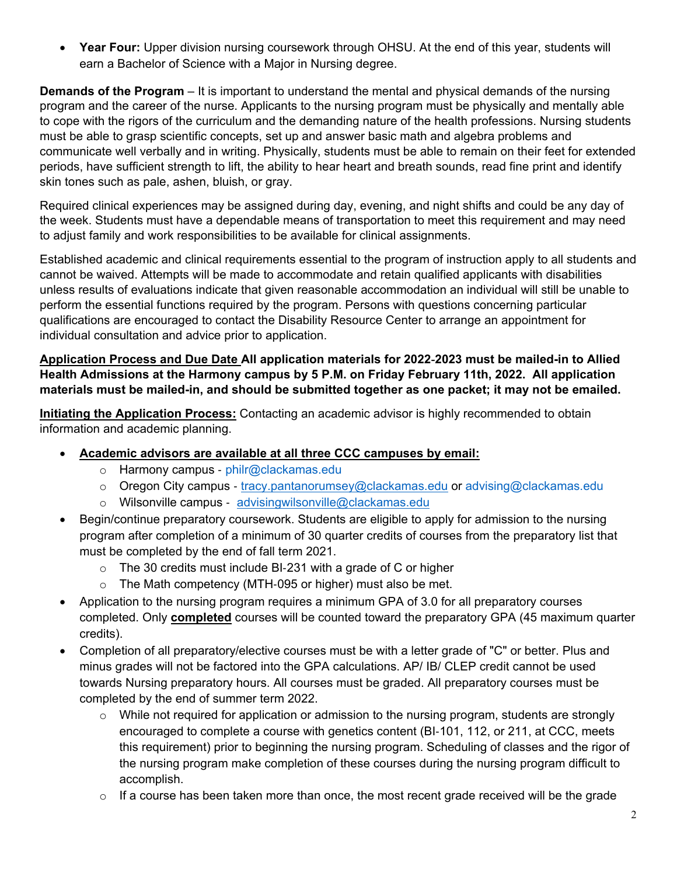• **Year Four:** Upper division nursing coursework through OHSU. At the end of this year, students will earn a Bachelor of Science with a Major in Nursing degree.

**Demands of the Program** – It is important to understand the mental and physical demands of the nursing program and the career of the nurse. Applicants to the nursing program must be physically and mentally able to cope with the rigors of the curriculum and the demanding nature of the health professions. Nursing students must be able to grasp scientific concepts, set up and answer basic math and algebra problems and communicate well verbally and in writing. Physically, students must be able to remain on their feet for extended periods, have sufficient strength to lift, the ability to hear heart and breath sounds, read fine print and identify skin tones such as pale, ashen, bluish, or gray.

Required clinical experiences may be assigned during day, evening, and night shifts and could be any day of the week. Students must have a dependable means of transportation to meet this requirement and may need to adjust family and work responsibilities to be available for clinical assignments.

Established academic and clinical requirements essential to the program of instruction apply to all students and cannot be waived. Attempts will be made to accommodate and retain qualified applicants with disabilities unless results of evaluations indicate that given reasonable accommodation an individual will still be unable to perform the essential functions required by the program. Persons with questions concerning particular qualifications are encouraged to contact the Disability Resource Center to arrange an appointment for individual consultation and advice prior to application.

**Application Process and Due Date All application materials for 2022**‐**2023 must be mailed-in to Allied Health Admissions at the Harmony campus by 5 P.M. on Friday February 11th, 2022. All application materials must be mailed-in, and should be submitted together as one packet; it may not be emailed.**

**Initiating the Application Process:** Contacting an academic advisor is highly recommended to obtain information and academic planning.

- **Academic advisors are available at all three CCC campuses by email:**
	- o Harmony campus philr@clackamas.edu
	- o Oregon City campus [tracy.pantanorumsey@clackamas.edu](mailto:tracy.pantanorumsey@clackamas.edu) or [advising@clackamas.edu](mailto:advising@clackamas.edu)
	- o Wilsonville campus ‐ [advisingwilsonville@clackamas.edu](mailto:advisingwilsonville@clackamas.edu)
- Begin/continue preparatory coursework. Students are eligible to apply for admission to the nursing program after completion of a minimum of 30 quarter credits of courses from the preparatory list that must be completed by the end of fall term 2021.
	- o The 30 credits must include BI‐231 with a grade of C or higher
	- o The Math competency (MTH‐095 or higher) must also be met.
- Application to the nursing program requires a minimum GPA of 3.0 for all preparatory courses completed. Only **completed** courses will be counted toward the preparatory GPA (45 maximum quarter credits).
- Completion of all preparatory/elective courses must be with a letter grade of "C" or better. Plus and minus grades will not be factored into the GPA calculations. AP/ IB/ CLEP credit cannot be used towards Nursing preparatory hours. All courses must be graded. All preparatory courses must be completed by the end of summer term 2022.
	- $\circ$  While not required for application or admission to the nursing program, students are strongly encouraged to complete a course with genetics content (BI‐101, 112, or 211, at CCC, meets this requirement) prior to beginning the nursing program. Scheduling of classes and the rigor of the nursing program make completion of these courses during the nursing program difficult to accomplish.
	- $\circ$  If a course has been taken more than once, the most recent grade received will be the grade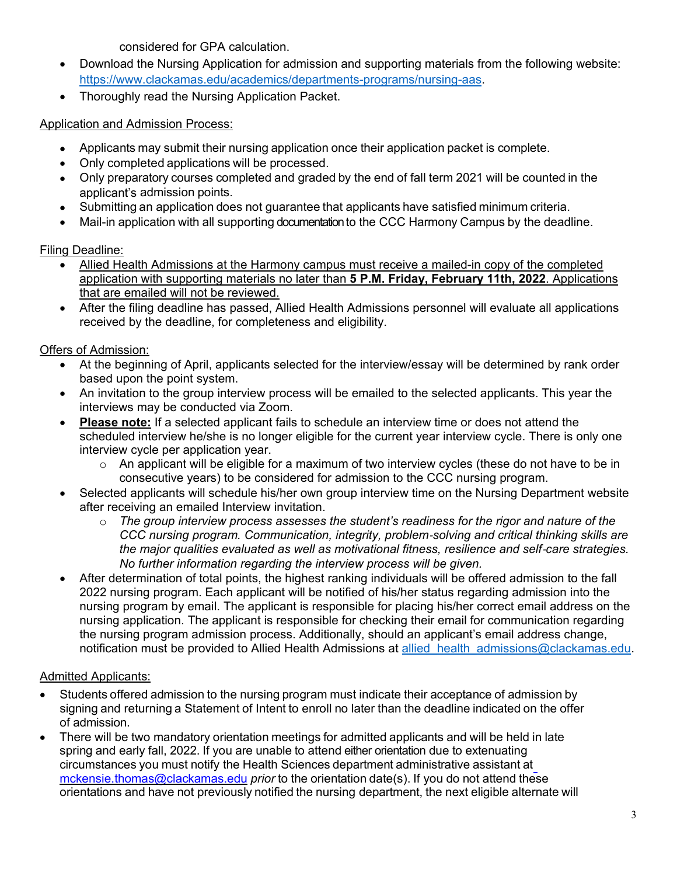considered for GPA calculation.

- Download the Nursing Application for admission and supporting materials from the following website: [https://www.clackamas.edu/academics/departments-programs/nursing-aas.](https://www.clackamas.edu/academics/departments-programs/nursing-aas)
- Thoroughly read the Nursing Application Packet.

## Application and Admission Process:

- Applicants may submit their nursing application once their application packet is complete.
- Only completed applications will be processed.
- Only preparatory courses completed and graded by the end of fall term 2021 will be counted in the applicant's admission points.
- Submitting an application does not guarantee that applicants have satisfied minimum criteria.
- Mail-in application with all supporting documentationto the CCC Harmony Campus by the deadline.

## Filing Deadline:

- Allied Health Admissions at the Harmony campus must receive a mailed-in copy of the completed application with supporting materials no later than **5 P.M. Friday, February 11th, 2022**. Applications that are emailed will not be reviewed.
- After the filing deadline has passed, Allied Health Admissions personnel will evaluate all applications received by the deadline, for completeness and eligibility.

## Offers of Admission:

- At the beginning of April, applicants selected for the interview/essay will be determined by rank order based upon the point system.
- An invitation to the group interview process will be emailed to the selected applicants. This year the interviews may be conducted via Zoom.
- **Please note:** If a selected applicant fails to schedule an interview time or does not attend the scheduled interview he/she is no longer eligible for the current year interview cycle. There is only one interview cycle per application year.
	- $\circ$  An applicant will be eligible for a maximum of two interview cycles (these do not have to be in consecutive years) to be considered for admission to the CCC nursing program.
- Selected applicants will schedule his/her own group interview time on the Nursing Department website after receiving an emailed Interview invitation.
	- o *The group interview process assesses the student's readiness for the rigor and nature of the CCC nursing program. Communication, integrity, problem*‐*solving and critical thinking skills are the major qualities evaluated as well as motivational fitness, resilience and self*‐*care strategies. No further information regarding the interview process will be given.*
- After determination of total points, the highest ranking individuals will be offered admission to the fall 2022 nursing program. Each applicant will be notified of his/her status regarding admission into the nursing program by email. The applicant is responsible for placing his/her correct email address on the nursing application. The applicant is responsible for checking their email for communication regarding the nursing program admission process. Additionally, should an applicant's email address change, notification must be provided to Allied Health Admissions at allied health admissions@clackamas.edu.

# Admitted Applicants:

- Students offered admission to the nursing program must indicate their acceptance of admission by signing and returning a Statement of Intent to enroll no later than the deadline indicated on the offer of admission.
- There will be two mandatory orientation meetings for admitted applicants and will be held in late spring and early fall, 2022. If you are unable to attend either orientation due to extenuating circumstances you must notify the Health Sciences department administrative assistant at [mckensie.thomas@clackamas.edu](mailto:mckensie.thomas@clackamas.edu) *prior* to the orientation date(s). If you do not attend these orientations and have not previously notified the nursing department, the next eligible alternate will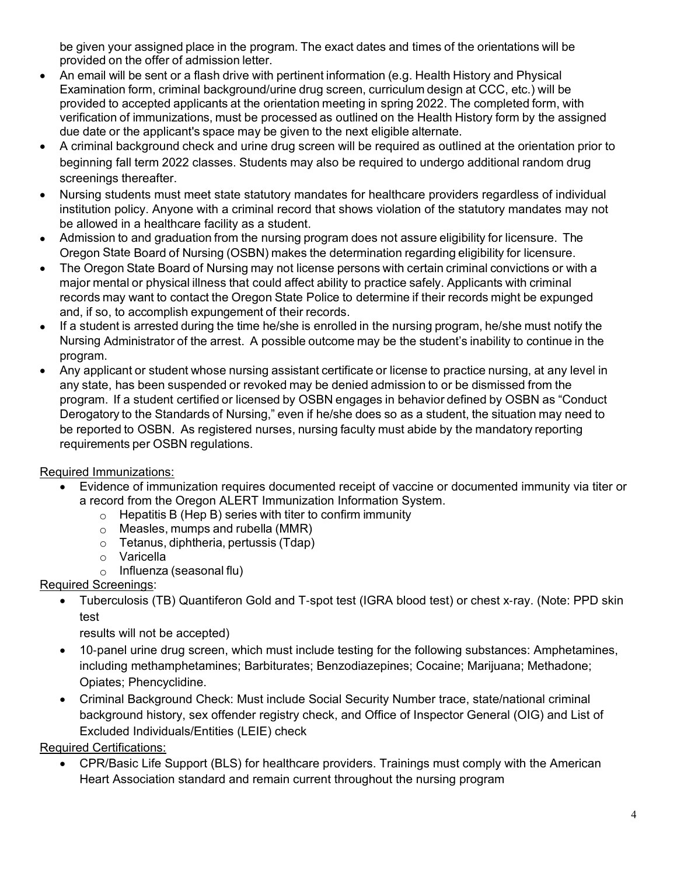be given your assigned place in the program. The exact dates and times of the orientations will be provided on the offer of admission letter.

- An email will be sent or a flash drive with pertinent information (e.g. Health History and Physical Examination form, criminal background/urine drug screen, curriculum design at CCC, etc.) will be provided to accepted applicants at the orientation meeting in spring 2022. The completed form, with verification of immunizations, must be processed as outlined on the Health History form by the assigned due date or the applicant's space may be given to the next eligible alternate.
- A criminal background check and urine drug screen will be required as outlined at the orientation prior to beginning fall term 2022 classes. Students may also be required to undergo additional random drug screenings thereafter.
- Nursing students must meet state statutory mandates for healthcare providers regardless of individual institution policy. Anyone with a criminal record that shows violation of the statutory mandates may not be allowed in a healthcare facility as a student.
- Admission to and graduation from the nursing program does not assure eligibility for licensure. The Oregon State Board of Nursing (OSBN) makes the determination regarding eligibility for licensure.
- The Oregon State Board of Nursing may not license persons with certain criminal convictions or with a major mental or physical illness that could affect ability to practice safely. Applicants with criminal records may want to contact the Oregon State Police to determine if their records might be expunged and, if so, to accomplish expungement of their records.
- If a student is arrested during the time he/she is enrolled in the nursing program, he/she must notify the Nursing Administrator of the arrest. A possible outcome may be the student's inability to continue in the program.
- Any applicant or student whose nursing assistant certificate or license to practice nursing, at any level in any state, has been suspended or revoked may be denied admission to or be dismissed from the program. If a student certified or licensed by OSBN engages in behavior defined by OSBN as "Conduct Derogatory to the Standards of Nursing," even if he/she does so as a student, the situation may need to be reported to OSBN. As registered nurses, nursing faculty must abide by the mandatory reporting requirements per OSBN regulations.

# Required Immunizations:

- Evidence of immunization requires documented receipt of vaccine or documented immunity via titer or a record from the Oregon ALERT Immunization Information System.
	- $\circ$  Hepatitis B (Hep B) series with titer to confirm immunity
	- o Measles, mumps and rubella (MMR)
	- o Tetanus, diphtheria, pertussis (Tdap)
	- o Varicella
	- $\circ$  Influenza (seasonal flu)

# Required Screenings:

• Tuberculosis (TB) Quantiferon Gold and T‐spot test (IGRA blood test) or chest x‐ray. (Note: PPD skin test

results will not be accepted)

- 10-panel urine drug screen, which must include testing for the following substances: Amphetamines, including methamphetamines; Barbiturates; Benzodiazepines; Cocaine; Marijuana; Methadone; Opiates; Phencyclidine.
- Criminal Background Check: Must include Social Security Number trace, state/national criminal background history, sex offender registry check, and Office of Inspector General (OIG) and List of Excluded Individuals/Entities (LEIE) check

Required Certifications:

• CPR/Basic Life Support (BLS) for healthcare providers. Trainings must comply with the American Heart Association standard and remain current throughout the nursing program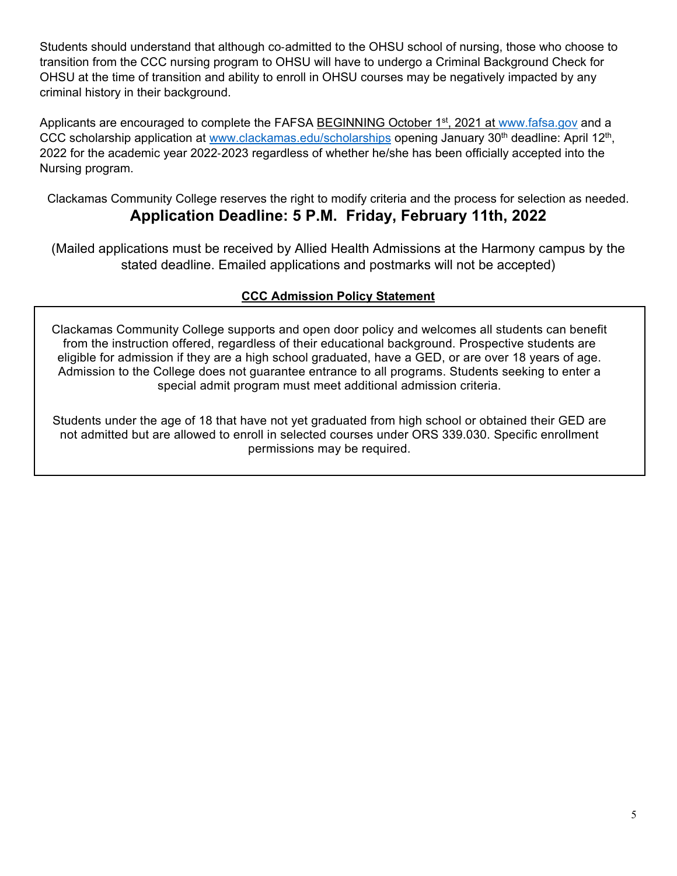Students should understand that although co‐admitted to the OHSU school of nursing, those who choose to transition from the CCC nursing program to OHSU will have to undergo a Criminal Background Check for OHSU at the time of transition and ability to enroll in OHSU courses may be negatively impacted by any criminal history in their background.

Applicants are encouraged to complete the FAFSA BEGINNING October 1<sup>st</sup>, 2021 at [www.fafsa.gov](http://www.fafsa.gov/) and a CCC scholarship application at [www.clackamas.edu/scholarships](http://www.clackamas.edu/scholarships) opening January 30<sup>th</sup> deadline: April 12<sup>th</sup>, 2022 for the academic year 2022‐2023 regardless of whether he/she has been officially accepted into the Nursing program.

Clackamas Community College reserves the right to modify criteria and the process for selection as needed. **Application Deadline: 5 P.M. Friday, February 11th, 2022**

(Mailed applications must be received by Allied Health Admissions at the Harmony campus by the stated deadline. Emailed applications and postmarks will not be accepted)

# **CCC Admission Policy Statement**

Clackamas Community College supports and open door policy and welcomes all students can benefit from the instruction offered, regardless of their educational background. Prospective students are eligible for admission if they are a high school graduated, have a GED, or are over 18 years of age. Admission to the College does not guarantee entrance to all programs. Students seeking to enter a special admit program must meet additional admission criteria.

Students under the age of 18 that have not yet graduated from high school or obtained their GED are not admitted but are allowed to enroll in selected courses under ORS 339.030. Specific enrollment permissions may be required.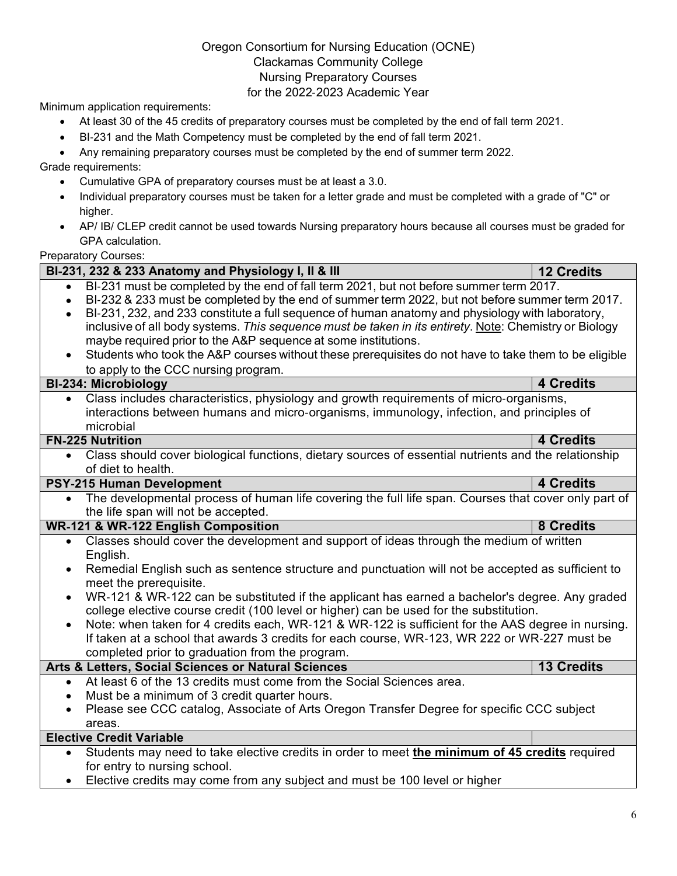### Oregon Consortium for Nursing Education (OCNE) Clackamas Community College Nursing Preparatory Courses for the 2022‐2023 Academic Year

Minimum application requirements:

- At least 30 of the 45 credits of preparatory courses must be completed by the end of fall term 2021.
- BI‐231 and the Math Competency must be completed by the end of fall term 2021.

• Any remaining preparatory courses must be completed by the end of summer term 2022.

Grade requirements:

- Cumulative GPA of preparatory courses must be at least a 3.0.
- Individual preparatory courses must be taken for a letter grade and must be completed with a grade of "C" or higher.
- AP/ IB/ CLEP credit cannot be used towards Nursing preparatory hours because all courses must be graded for GPA calculation.

Preparatory Courses:

| BI-231, 232 & 233 Anatomy and Physiology I, II & III | <b>12 Credits</b>                                                                                      |                   |  |  |  |  |
|------------------------------------------------------|--------------------------------------------------------------------------------------------------------|-------------------|--|--|--|--|
| $\bullet$                                            | BI-231 must be completed by the end of fall term 2021, but not before summer term 2017.                |                   |  |  |  |  |
| $\bullet$                                            | BI-232 & 233 must be completed by the end of summer term 2022, but not before summer term 2017.        |                   |  |  |  |  |
|                                                      | BI-231, 232, and 233 constitute a full sequence of human anatomy and physiology with laboratory,       |                   |  |  |  |  |
|                                                      | inclusive of all body systems. This sequence must be taken in its entirety. Note: Chemistry or Biology |                   |  |  |  |  |
|                                                      | maybe required prior to the A&P sequence at some institutions.                                         |                   |  |  |  |  |
|                                                      | Students who took the A&P courses without these prerequisites do not have to take them to be eligible  |                   |  |  |  |  |
|                                                      | to apply to the CCC nursing program.                                                                   |                   |  |  |  |  |
|                                                      | <b>BI-234: Microbiology</b>                                                                            | <b>4 Credits</b>  |  |  |  |  |
| $\bullet$                                            | Class includes characteristics, physiology and growth requirements of micro-organisms,                 |                   |  |  |  |  |
|                                                      | interactions between humans and micro-organisms, immunology, infection, and principles of              |                   |  |  |  |  |
|                                                      | microbial                                                                                              |                   |  |  |  |  |
|                                                      | <b>FN-225 Nutrition</b>                                                                                | <b>4 Credits</b>  |  |  |  |  |
| $\bullet$                                            | Class should cover biological functions, dietary sources of essential nutrients and the relationship   |                   |  |  |  |  |
|                                                      | of diet to health.                                                                                     |                   |  |  |  |  |
|                                                      | PSY-215 Human Development                                                                              | <b>4 Credits</b>  |  |  |  |  |
| $\bullet$                                            | The developmental process of human life covering the full life span. Courses that cover only part of   |                   |  |  |  |  |
|                                                      | the life span will not be accepted.                                                                    |                   |  |  |  |  |
|                                                      | <b>WR-121 &amp; WR-122 English Composition</b>                                                         | <b>8 Credits</b>  |  |  |  |  |
| $\bullet$                                            | Classes should cover the development and support of ideas through the medium of written                |                   |  |  |  |  |
|                                                      | English.                                                                                               |                   |  |  |  |  |
| $\bullet$                                            | Remedial English such as sentence structure and punctuation will not be accepted as sufficient to      |                   |  |  |  |  |
|                                                      | meet the prerequisite.                                                                                 |                   |  |  |  |  |
| $\bullet$                                            | WR-121 & WR-122 can be substituted if the applicant has earned a bachelor's degree. Any graded         |                   |  |  |  |  |
|                                                      | college elective course credit (100 level or higher) can be used for the substitution.                 |                   |  |  |  |  |
|                                                      | Note: when taken for 4 credits each, WR-121 & WR-122 is sufficient for the AAS degree in nursing.      |                   |  |  |  |  |
|                                                      | If taken at a school that awards 3 credits for each course, WR-123, WR 222 or WR-227 must be           |                   |  |  |  |  |
|                                                      | completed prior to graduation from the program.                                                        |                   |  |  |  |  |
|                                                      | Arts & Letters, Social Sciences or Natural Sciences                                                    | <b>13 Credits</b> |  |  |  |  |
| $\bullet$                                            | At least 6 of the 13 credits must come from the Social Sciences area.                                  |                   |  |  |  |  |
| $\bullet$                                            | Must be a minimum of 3 credit quarter hours.                                                           |                   |  |  |  |  |
|                                                      | Please see CCC catalog, Associate of Arts Oregon Transfer Degree for specific CCC subject              |                   |  |  |  |  |
| areas.                                               |                                                                                                        |                   |  |  |  |  |
|                                                      | <b>Elective Credit Variable</b>                                                                        |                   |  |  |  |  |
| $\bullet$                                            | Students may need to take elective credits in order to meet the minimum of 45 credits required         |                   |  |  |  |  |
|                                                      | for entry to nursing school.                                                                           |                   |  |  |  |  |
|                                                      | Elective credits may come from any subject and must be 100 level or higher                             |                   |  |  |  |  |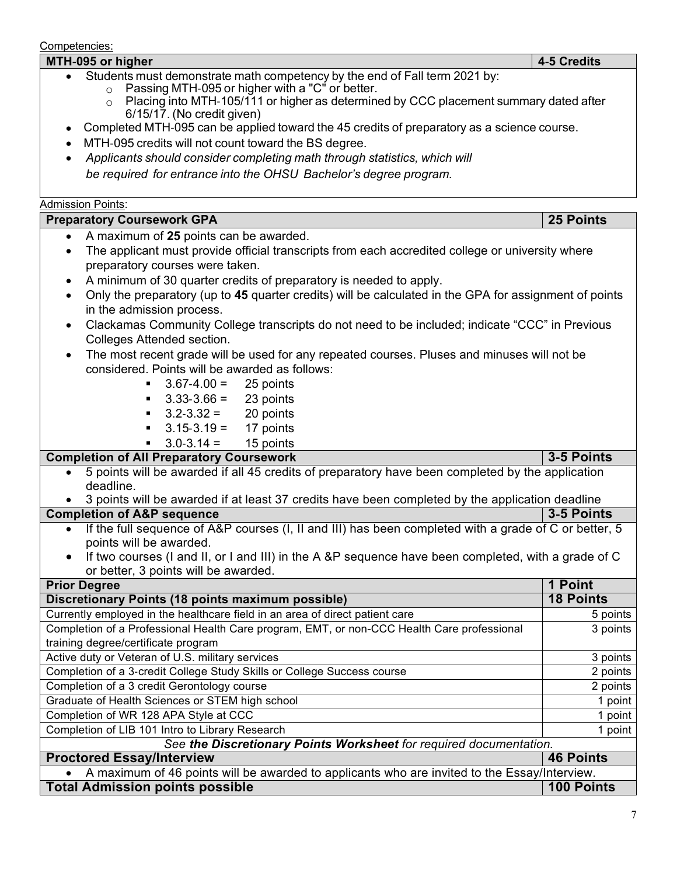Competencies: **MTH**‐**095 or higher 4**‐**5 Credits** • Students must demonstrate math competency by the end of Fall term 2021 by: o Passing MTH‐095 or higher with a "C" or better.  $\circ$  Placing into MTH-105/111 or higher as determined by CCC placement summary dated after 6/15/17. (No credit given) • Completed MTH‐095 can be applied toward the 45 credits of preparatory as a science course. • MTH-095 credits will not count toward the BS degree. • *Applicants should consider completing math through statistics, which will be required for entrance into the OHSU Bachelor's degree program.* Admission Points: **Preparatory Coursework GPA 25 Points** • A maximum of **25** points can be awarded. • The applicant must provide official transcripts from each accredited college or university where preparatory courses were taken. • A minimum of 30 quarter credits of preparatory is needed to apply. • Only the preparatory (up to **45** quarter credits) will be calculated in the GPA for assignment of points in the admission process. • Clackamas Community College transcripts do not need to be included; indicate "CCC" in Previous Colleges Attended section. • The most recent grade will be used for any repeated courses. Pluses and minuses will not be considered. Points will be awarded as follows:  $3.67 - 4.00 = 25$  points<br> $3.33 - 3.66 = 23$  points  $3.33-3.66 = 23$  points<br> $3.2-3.32 = 20$  points  $3.2 - 3.32 = 20$  points<br> $3.15 - 3.19 = 17$  points ■  $3.15 - 3.19 = 17$  points<br>■  $3.0 - 3.14 = 15$  points  $3.0 - 3.14 =$ **Completion of All Preparatory Coursework 3-5 Points 3-5 Points**<br>■ 5 points will be awarded if all 45 credits of preparatory have been completed by the application • 5 points will be awarded if all 45 credits of preparatory have been completed by the application deadline. 3 points will be awarded if at least 37 credits have been completed by the application deadline<br>etion of A&P sequence<br>3-5 Points **Completion of A&P sequence** • If the full sequence of A&P courses (I, II and III) has been completed with a grade of C or better, 5 points will be awarded. • If two courses (I and II, or I and III) in the A &P sequence have been completed, with a grade of C or better, 3 points will be awarded. Prior Degree 1991 1 Point<br>Discretionary Points (18 points maximum possible) 18 Points 18 Points **Discretionary Points (18 points maximum possible)** Currently employed in the healthcare field in an area of direct patient care 5 points 5 points Completion of a Professional Health Care program, EMT, or non-CCC Health Care professional 3 points training degree/certificate program Active duty or Veteran of U.S. military services 3 points 3 points 3 points Completion of a 3-credit College Study Skills or College Success course 2 points<br>
2 points 2 points 2 points 2 points 2 points Completion of a 3 credit Gerontology course Graduate of Health Sciences or STEM high school 1 point 1 point 1 point 1 point Completion of WR 128 APA Style at CCC 1 point 1 point 1 point 1 point 1 point Completion of LIB 101 Intro to Library Research 1 point 1 point 1 point *See the Discretionary Points Worksheet for required documentation.* **Proctored Essay/Interview 46 Points** • A maximum of 46 points will be awarded to applicants who are invited to the Essay/Interview. **Total Admission points possible 100 Points**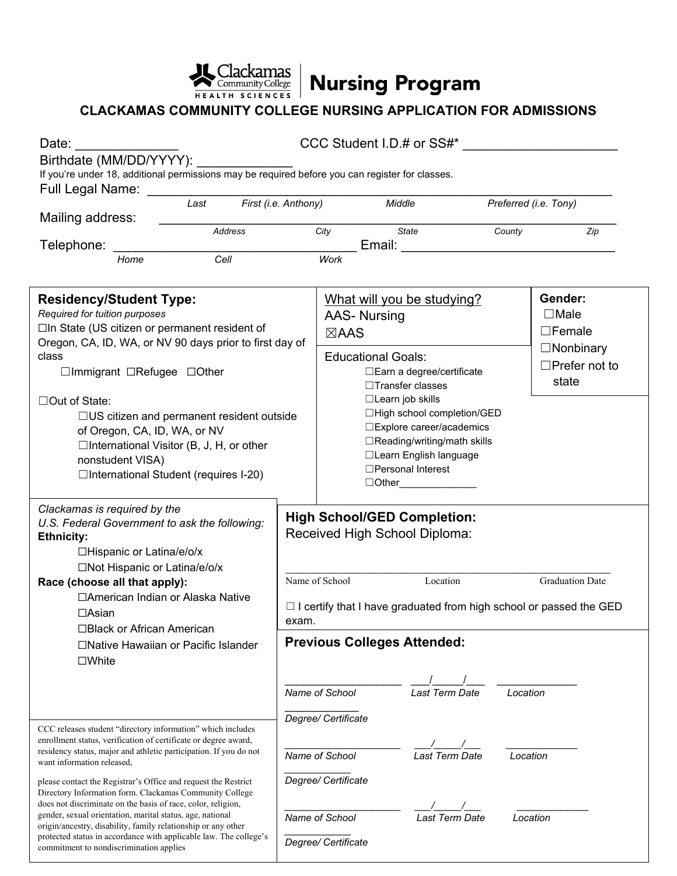

REALTH SCIENCES Nursing Program

# **CLACKAMAS COMMUNITY COLLEGE NURSING APPLICATION FOR ADMISSIONS**

| Date: <b>Date</b><br>Birthdate (MM/DD/YYYY):<br>If you're under 18, additional permissions may be required before you can register for classes.<br>Full Legal Name:                                                                                                                                                                                                                                                                                                                                                                                          |                              |                                                                                                                                                                                                        | CCC Student I.D.# or SS#*                                                                                                                             |                                 |          |                                                                |  |  |
|--------------------------------------------------------------------------------------------------------------------------------------------------------------------------------------------------------------------------------------------------------------------------------------------------------------------------------------------------------------------------------------------------------------------------------------------------------------------------------------------------------------------------------------------------------------|------------------------------|--------------------------------------------------------------------------------------------------------------------------------------------------------------------------------------------------------|-------------------------------------------------------------------------------------------------------------------------------------------------------|---------------------------------|----------|----------------------------------------------------------------|--|--|
| Mailing address:                                                                                                                                                                                                                                                                                                                                                                                                                                                                                                                                             | First (i.e. Anthony)<br>Last |                                                                                                                                                                                                        |                                                                                                                                                       | Middle                          |          | Preferred (i.e. Tony)                                          |  |  |
|                                                                                                                                                                                                                                                                                                                                                                                                                                                                                                                                                              | Address                      |                                                                                                                                                                                                        | City                                                                                                                                                  | State                           | County   | Zip                                                            |  |  |
| Telephone: ____<br>Home                                                                                                                                                                                                                                                                                                                                                                                                                                                                                                                                      | Cell                         |                                                                                                                                                                                                        | Work                                                                                                                                                  | Email: <u>_________________</u> |          |                                                                |  |  |
|                                                                                                                                                                                                                                                                                                                                                                                                                                                                                                                                                              |                              |                                                                                                                                                                                                        |                                                                                                                                                       |                                 |          |                                                                |  |  |
| <b>Residency/Student Type:</b><br>Required for tuition purposes<br>□In State (US citizen or permanent resident of<br>Oregon, CA, ID, WA, or NV 90 days prior to first day of<br>class<br>□Immigrant □Refugee □Other                                                                                                                                                                                                                                                                                                                                          |                              |                                                                                                                                                                                                        | What will you be studying?<br><b>AAS- Nursing</b><br>$\boxtimes$ AAS<br><b>Educational Goals:</b><br>□ Earn a degree/certificate<br>□Transfer classes |                                 |          | Gender:<br>$\Box$ Male<br>$\square$ Female<br>$\Box$ Nonbinary |  |  |
|                                                                                                                                                                                                                                                                                                                                                                                                                                                                                                                                                              |                              |                                                                                                                                                                                                        |                                                                                                                                                       |                                 |          | $\Box$ Prefer not to<br>state                                  |  |  |
| □Out of State:<br>$\Box$ US citizen and permanent resident outside<br>of Oregon, CA, ID, WA, or NV<br>$\Box$ International Visitor (B, J, H, or other<br>nonstudent VISA)<br>□International Student (requires I-20)                                                                                                                                                                                                                                                                                                                                          |                              | □Learn job skills<br>□High school completion/GED<br>□ Explore career/academics<br>□Reading/writing/math skills<br>□Learn English language<br>□Personal Interest<br>$\Box$ Other $\_\_\_\_\_\_\_\_\_\_$ |                                                                                                                                                       |                                 |          |                                                                |  |  |
| Clackamas is required by the<br>U.S. Federal Government to ask the following:<br><b>Ethnicity:</b><br>□Hispanic or Latina/e/o/x                                                                                                                                                                                                                                                                                                                                                                                                                              |                              | <b>High School/GED Completion:</b><br>Received High School Diploma:                                                                                                                                    |                                                                                                                                                       |                                 |          |                                                                |  |  |
| □Not Hispanic or Latina/e/o/x<br>Race (choose all that apply):                                                                                                                                                                                                                                                                                                                                                                                                                                                                                               |                              |                                                                                                                                                                                                        | Name of School                                                                                                                                        | <b>Graduation Date</b>          |          |                                                                |  |  |
| □American Indian or Alaska Native<br>$\Box$ Asian<br>□Black or African American                                                                                                                                                                                                                                                                                                                                                                                                                                                                              |                              | Location<br>$\Box$ I certify that I have graduated from high school or passed the GED<br>exam.                                                                                                         |                                                                                                                                                       |                                 |          |                                                                |  |  |
| □Native Hawaiian or Pacific Islander<br>$\square$ White                                                                                                                                                                                                                                                                                                                                                                                                                                                                                                      |                              |                                                                                                                                                                                                        | <b>Previous Colleges Attended:</b>                                                                                                                    |                                 |          |                                                                |  |  |
|                                                                                                                                                                                                                                                                                                                                                                                                                                                                                                                                                              |                              |                                                                                                                                                                                                        | Name of School                                                                                                                                        | Last Term Date                  | Location |                                                                |  |  |
| CCC releases student "directory information" which includes<br>enrollment status, verification of certificate or degree award,<br>residency status, major and athletic participation. If you do not<br>want information released,<br>please contact the Registrar's Office and request the Restrict<br>Directory Information form. Clackamas Community College<br>does not discriminate on the basis of race, color, religion,<br>gender, sexual orientation, marital status, age, national<br>origin/ancestry, disability, family relationship or any other |                              | Degree/ Certificate<br>Last Term Date<br>Name of School<br>Degree/ Certificate<br>Last Term Date<br>Name of School                                                                                     |                                                                                                                                                       | Location                        |          |                                                                |  |  |
|                                                                                                                                                                                                                                                                                                                                                                                                                                                                                                                                                              |                              |                                                                                                                                                                                                        |                                                                                                                                                       |                                 |          |                                                                |  |  |
|                                                                                                                                                                                                                                                                                                                                                                                                                                                                                                                                                              |                              |                                                                                                                                                                                                        |                                                                                                                                                       |                                 |          | Location                                                       |  |  |
| protected status in accordance with applicable law. The college's<br>commitment to nondiscrimination applies                                                                                                                                                                                                                                                                                                                                                                                                                                                 |                              |                                                                                                                                                                                                        | Degree/ Certificate                                                                                                                                   |                                 |          |                                                                |  |  |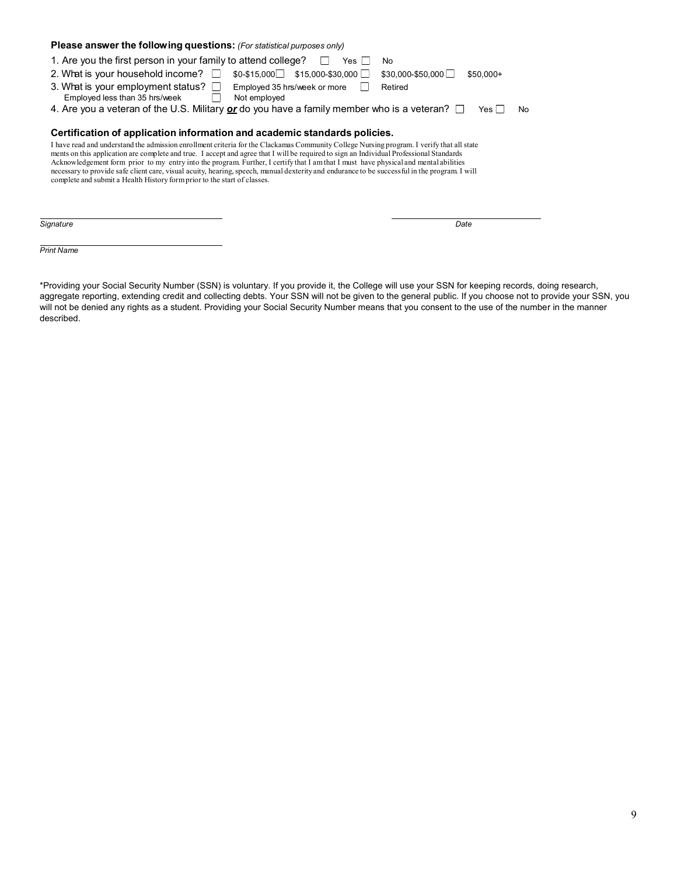| Please answer the following questions: (For statistical purposes only)                                                                                                                                                                                                                                                                                                                                                                                                                                                                                                                                                                                     |                                 |  |  |  |  |  |
|------------------------------------------------------------------------------------------------------------------------------------------------------------------------------------------------------------------------------------------------------------------------------------------------------------------------------------------------------------------------------------------------------------------------------------------------------------------------------------------------------------------------------------------------------------------------------------------------------------------------------------------------------------|---------------------------------|--|--|--|--|--|
| 1. Are you the first person in your family to attend college?<br>Yes l<br>No                                                                                                                                                                                                                                                                                                                                                                                                                                                                                                                                                                               |                                 |  |  |  |  |  |
| 2. What is your household income? $\Box$<br>$$0-$15,000$ $$15,000-$30,000$                                                                                                                                                                                                                                                                                                                                                                                                                                                                                                                                                                                 | \$30,000-\$50,000<br>$$50.000+$ |  |  |  |  |  |
| 3. What is your employment status? $\square$<br>Employed 35 hrs/week or more<br>Employed less than 35 hrs/week<br>Not employed                                                                                                                                                                                                                                                                                                                                                                                                                                                                                                                             | Retired                         |  |  |  |  |  |
| 4. Are you a veteran of the U.S. Military $\alpha r$ do you have a family member who is a veteran? $\square$                                                                                                                                                                                                                                                                                                                                                                                                                                                                                                                                               | Yes l<br>No                     |  |  |  |  |  |
| Certification of application information and academic standards policies.                                                                                                                                                                                                                                                                                                                                                                                                                                                                                                                                                                                  |                                 |  |  |  |  |  |
| I have read and understand the admission enrollment criteria for the Clackamas Community College Nursing program. I verify that all state<br>ments on this application are complete and true. I accept and agree that I will be required to sign an Individual Professional Standards<br>Acknowledgement form prior to my entry into the program. Further, I certify that I am that I must have physical and mental abilities<br>necessary to provide safe client care, visual acuity, hearing, speech, manual dexterity and endurance to be successful in the program. I will<br>complete and submit a Health History form prior to the start of classes. |                                 |  |  |  |  |  |
|                                                                                                                                                                                                                                                                                                                                                                                                                                                                                                                                                                                                                                                            |                                 |  |  |  |  |  |
| Signature                                                                                                                                                                                                                                                                                                                                                                                                                                                                                                                                                                                                                                                  | Date                            |  |  |  |  |  |

*Print Name*

\*Providing your Social Security Number (SSN) is voluntary. If you provide it, the College will use your SSN for keeping records, doing research, aggregate reporting, extending credit and collecting debts. Your SSN will not be given to the general public. If you choose not to provide your SSN, you will not be denied any rights as a student. Providing your Social Security Number means that you consent to the use of the number in the manner described.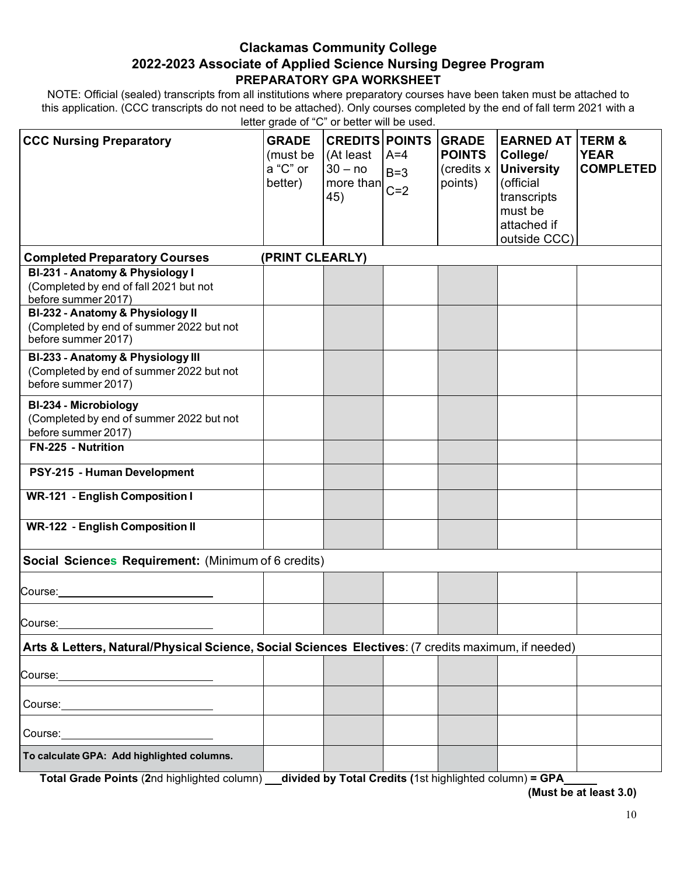### **Clackamas Community College 2022-2023 Associate of Applied Science Nursing Degree Program PREPARATORY GPA WORKSHEET**

NOTE: Official (sealed) transcripts from all institutions where preparatory courses have been taken must be attached to this application. (CCC transcripts do not need to be attached). Only courses completed by the end of fall term 2021 with a letter grade of "C" or better will be used.

| <b>CCC Nursing Preparatory</b>                                                                                                  | <b>GRADE</b><br>(must be<br>a "C" or<br>better) | <b>CREDITS POINTS</b><br>(At least<br>$30 - no$<br>$\frac{35}{2}$ more than $C=2$<br>45) | $A=4$<br>$B=3$ | <b>GRADE</b><br><b>POINTS</b><br>(credits x<br>points) | <b>EARNED AT</b><br>College/<br><b>University</b><br>(official<br>transcripts<br>must be<br>attached if<br>outside CCC) | <b>TERM &amp;</b><br><b>YEAR</b><br><b>COMPLETED</b> |
|---------------------------------------------------------------------------------------------------------------------------------|-------------------------------------------------|------------------------------------------------------------------------------------------|----------------|--------------------------------------------------------|-------------------------------------------------------------------------------------------------------------------------|------------------------------------------------------|
| <b>Completed Preparatory Courses</b>                                                                                            | (PRINT CLEARLY)                                 |                                                                                          |                |                                                        |                                                                                                                         |                                                      |
| BI-231 - Anatomy & Physiology I<br>(Completed by end of fall 2021 but not<br>before summer 2017)                                |                                                 |                                                                                          |                |                                                        |                                                                                                                         |                                                      |
| BI-232 - Anatomy & Physiology II<br>(Completed by end of summer 2022 but not<br>before summer 2017)                             |                                                 |                                                                                          |                |                                                        |                                                                                                                         |                                                      |
| BI-233 - Anatomy & Physiology III<br>(Completed by end of summer 2022 but not<br>before summer 2017)                            |                                                 |                                                                                          |                |                                                        |                                                                                                                         |                                                      |
| BI-234 - Microbiology<br>(Completed by end of summer 2022 but not<br>before summer 2017)                                        |                                                 |                                                                                          |                |                                                        |                                                                                                                         |                                                      |
| FN-225 - Nutrition                                                                                                              |                                                 |                                                                                          |                |                                                        |                                                                                                                         |                                                      |
| PSY-215 - Human Development                                                                                                     |                                                 |                                                                                          |                |                                                        |                                                                                                                         |                                                      |
| <b>WR-121 - English Composition I</b>                                                                                           |                                                 |                                                                                          |                |                                                        |                                                                                                                         |                                                      |
| <b>WR-122 - English Composition II</b>                                                                                          |                                                 |                                                                                          |                |                                                        |                                                                                                                         |                                                      |
| Social Sciences Requirement: (Minimum of 6 credits)                                                                             |                                                 |                                                                                          |                |                                                        |                                                                                                                         |                                                      |
| Course:                                                                                                                         |                                                 |                                                                                          |                |                                                        |                                                                                                                         |                                                      |
| Course:                                                                                                                         |                                                 |                                                                                          |                |                                                        |                                                                                                                         |                                                      |
| Arts & Letters, Natural/Physical Science, Social Sciences Electives: (7 credits maximum, if needed)                             |                                                 |                                                                                          |                |                                                        |                                                                                                                         |                                                      |
| Course:<br><u> 1989 - Johann Barn, mars eta bat erroman erroman erroman erroman erroman erroman erroman erroman erroman err</u> |                                                 |                                                                                          |                |                                                        |                                                                                                                         |                                                      |
|                                                                                                                                 |                                                 |                                                                                          |                |                                                        |                                                                                                                         |                                                      |
|                                                                                                                                 |                                                 |                                                                                          |                |                                                        |                                                                                                                         |                                                      |
| To calculate GPA: Add highlighted columns.                                                                                      |                                                 |                                                                                          |                |                                                        |                                                                                                                         |                                                      |

Total Grade Points (2nd highlighted column) \_\_ divided by Total Credits (1st highlighted column) = GPA

**(Must be at least 3.0)**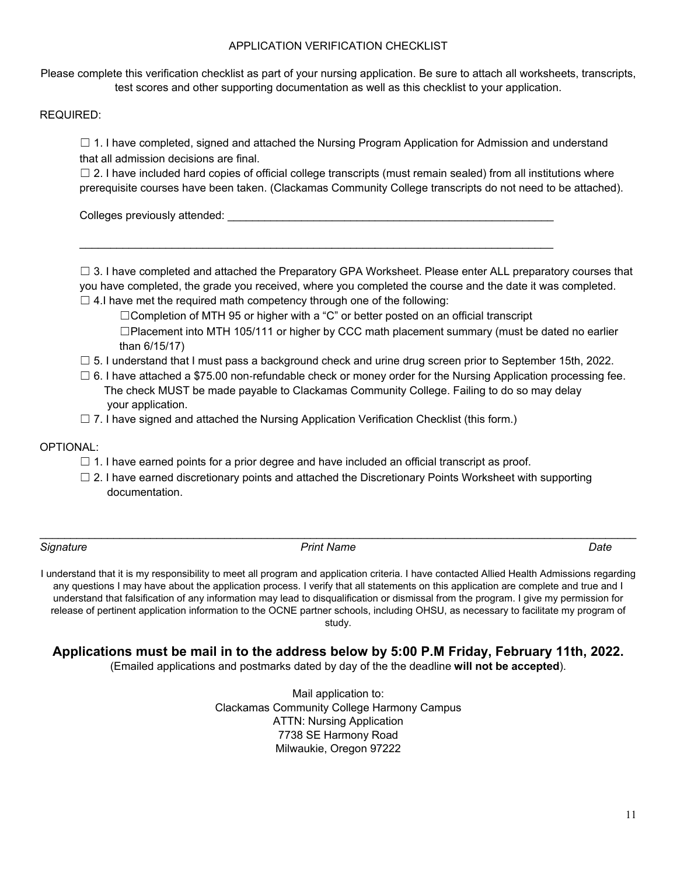### APPLICATION VERIFICATION CHECKLIST

Please complete this verification checklist as part of your nursing application. Be sure to attach all worksheets, transcripts, test scores and other supporting documentation as well as this checklist to your application.

#### REQUIRED:

 $\Box$  1. I have completed, signed and attached the Nursing Program Application for Admission and understand that all admission decisions are final.

 $\Box$  2. I have included hard copies of official college transcripts (must remain sealed) from all institutions where prerequisite courses have been taken. (Clackamas Community College transcripts do not need to be attached).

Colleges previously attended:

 $\Box$  3. I have completed and attached the Preparatory GPA Worksheet. Please enter ALL preparatory courses that you have completed, the grade you received, where you completed the course and the date it was completed.

 $\Box$  4.I have met the required math competency through one of the following:

□Completion of MTH 95 or higher with a "C" or better posted on an official transcript  $\square$ Placement into MTH 105/111 or higher by CCC math placement summary (must be dated no earlier than 6/15/17)

- $\Box$  5. I understand that I must pass a background check and urine drug screen prior to September 15th, 2022.
- $\Box$  6. I have attached a \$75.00 non-refundable check or money order for the Nursing Application processing fee. The check MUST be made payable to Clackamas Community College. Failing to do so may delay your application.
- □ 7. I have signed and attached the Nursing Application Verification Checklist (this form.)

\_\_\_\_\_\_\_\_\_\_\_\_\_\_\_\_\_\_\_\_\_\_\_\_\_\_\_\_\_\_\_\_\_\_\_\_\_\_\_\_\_\_\_\_\_\_\_\_\_\_\_\_\_\_\_\_\_\_\_\_\_\_\_\_\_\_\_\_\_\_\_\_\_\_\_\_\_

### OPTIONAL:

- $\Box$  1. I have earned points for a prior degree and have included an official transcript as proof.
- $\Box$  2. I have earned discretionary points and attached the Discretionary Points Worksheet with supporting documentation.

\_\_\_\_\_\_\_\_\_\_\_\_\_\_\_\_\_\_\_\_\_\_\_\_\_\_\_\_\_\_\_\_\_\_\_\_\_\_\_\_\_\_\_\_\_\_\_\_\_\_\_\_\_\_\_\_\_\_\_\_\_\_\_\_\_\_\_\_\_\_\_\_\_\_\_\_\_\_\_\_\_\_\_\_\_\_\_\_\_\_\_\_\_\_\_\_\_

#### *Signature Print Name Date*

I understand that it is my responsibility to meet all program and application criteria. I have contacted Allied Health Admissions regarding any questions I may have about the application process. I verify that all statements on this application are complete and true and I understand that falsification of any information may lead to disqualification or dismissal from the program. I give my permission for release of pertinent application information to the OCNE partner schools, including OHSU, as necessary to facilitate my program of study.

**Applications must be mail in to the address below by 5:00 P.M Friday, February 11th, 2022.**

(Emailed applications and postmarks dated by day of the the deadline **will not be accepted**).

Mail application to: Clackamas Community College Harmony Campus ATTN: Nursing Application 7738 SE Harmony Road Milwaukie, Oregon 97222